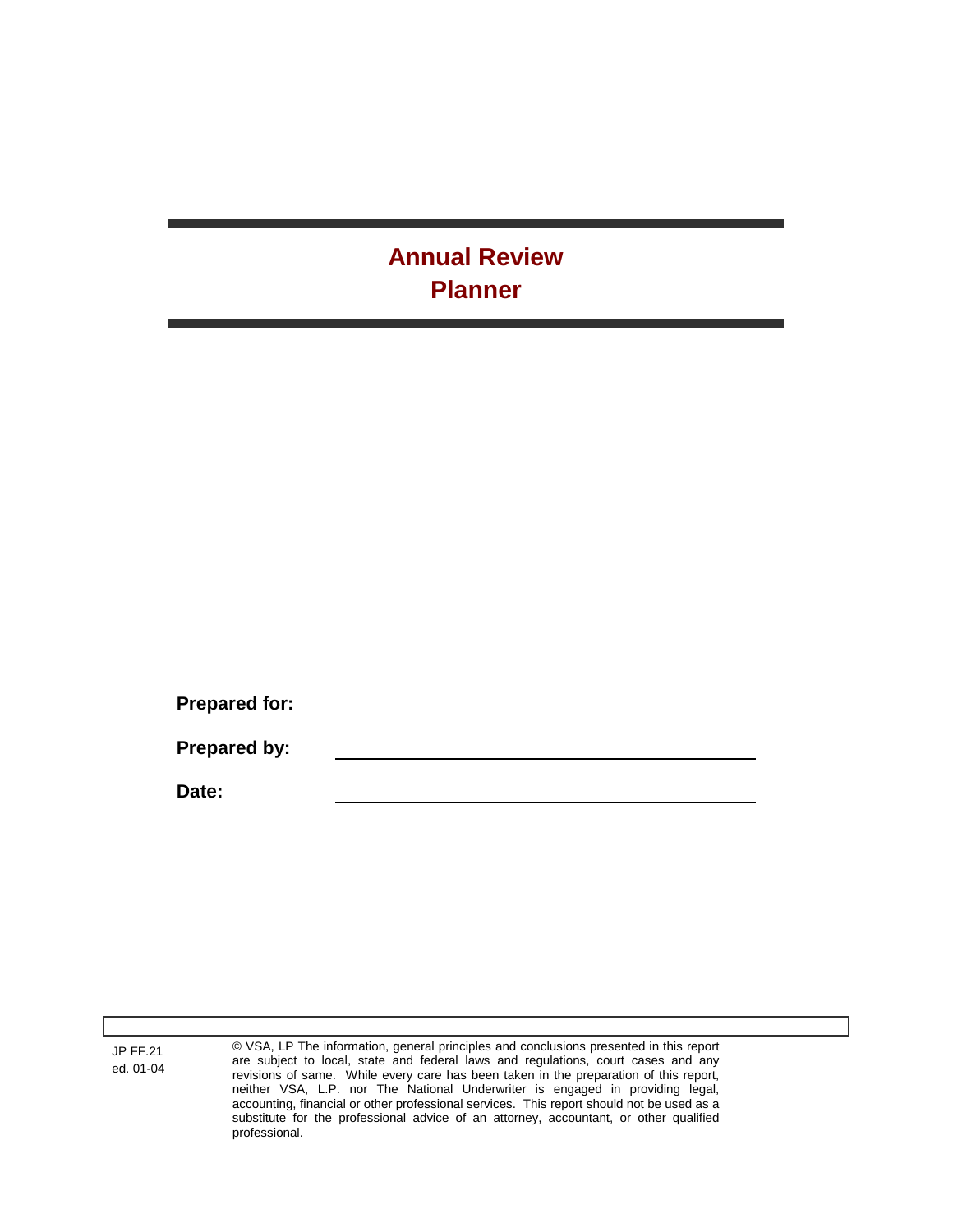# **Annual Review Planner**

**Prepared for: Prepared by: Date:**

JP FF.21 ed. 01-04 © VSA, LP The information, general principles and conclusions presented in this report are subject to local, state and federal laws and regulations, court cases and any revisions of same. While every care has been taken in the preparation of this report, neither VSA, L.P. nor The National Underwriter is engaged in providing legal, accounting, financial or other professional services. This report should not be used as a substitute for the professional advice of an attorney, accountant, or other qualified professional.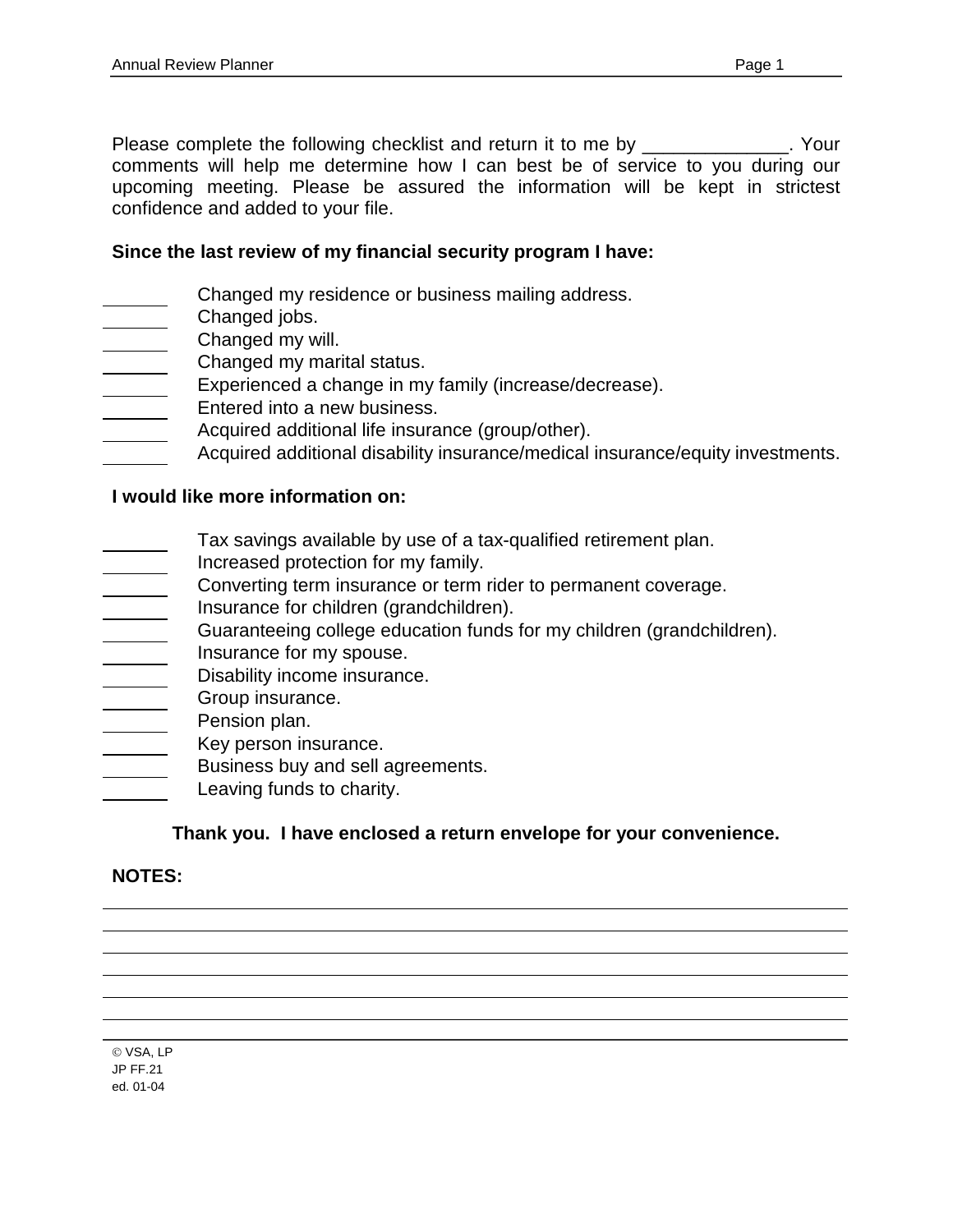Please complete the following checklist and return it to me by \_\_\_\_\_\_\_\_\_\_\_\_\_. Your comments will help me determine how I can best be of service to you during our upcoming meeting. Please be assured the information will be kept in strictest confidence and added to your file.

# **Since the last review of my financial security program I have:**

- Changed my residence or business mailing address.
- Changed jobs.
- Changed my will.
- Changed my marital status.
- Experienced a change in my family (increase/decrease).
- Entered into a new business.
- Acquired additional life insurance (group/other).
- Acquired additional disability insurance/medical insurance/equity investments.

### **I would like more information on:**

- Tax savings available by use of a tax-qualified retirement plan.
- Increased protection for my family.
- Converting term insurance or term rider to permanent coverage.
- Insurance for children (grandchildren).
- Guaranteeing college education funds for my children (grandchildren).
- Insurance for my spouse.  $\overline{\phantom{a}}$
- Disability income insurance.
- Group insurance.
- Pension plan.
- Key person insurance.
- Business buy and sell agreements.
- Leaving funds to charity.

# **Thank you. I have enclosed a return envelope for your convenience.**

# **NOTES:**

VSA, LP JP FF.21 ed. 01-04